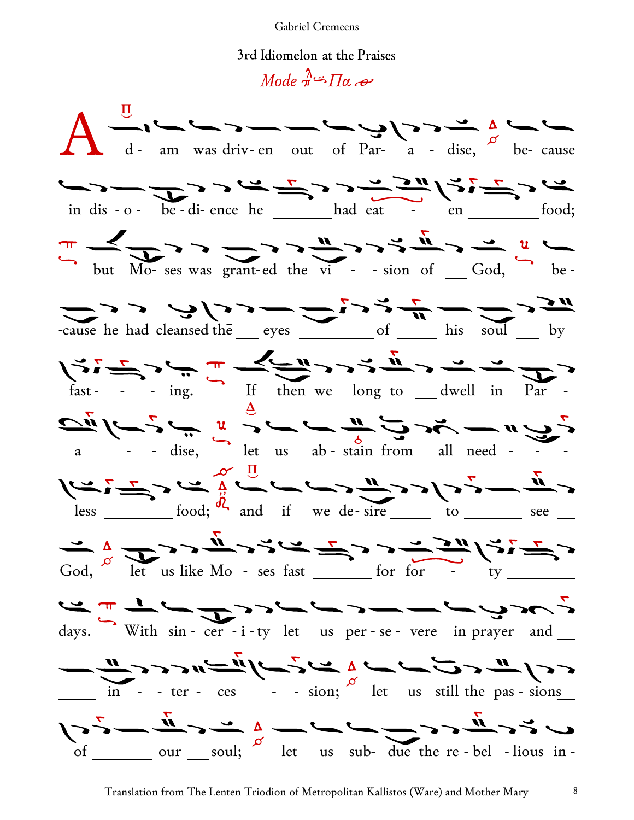## 3rd Idiomelon at the Praises

 $Mode \rightarrow \pi \rightarrow \pi \rightarrow \infty$